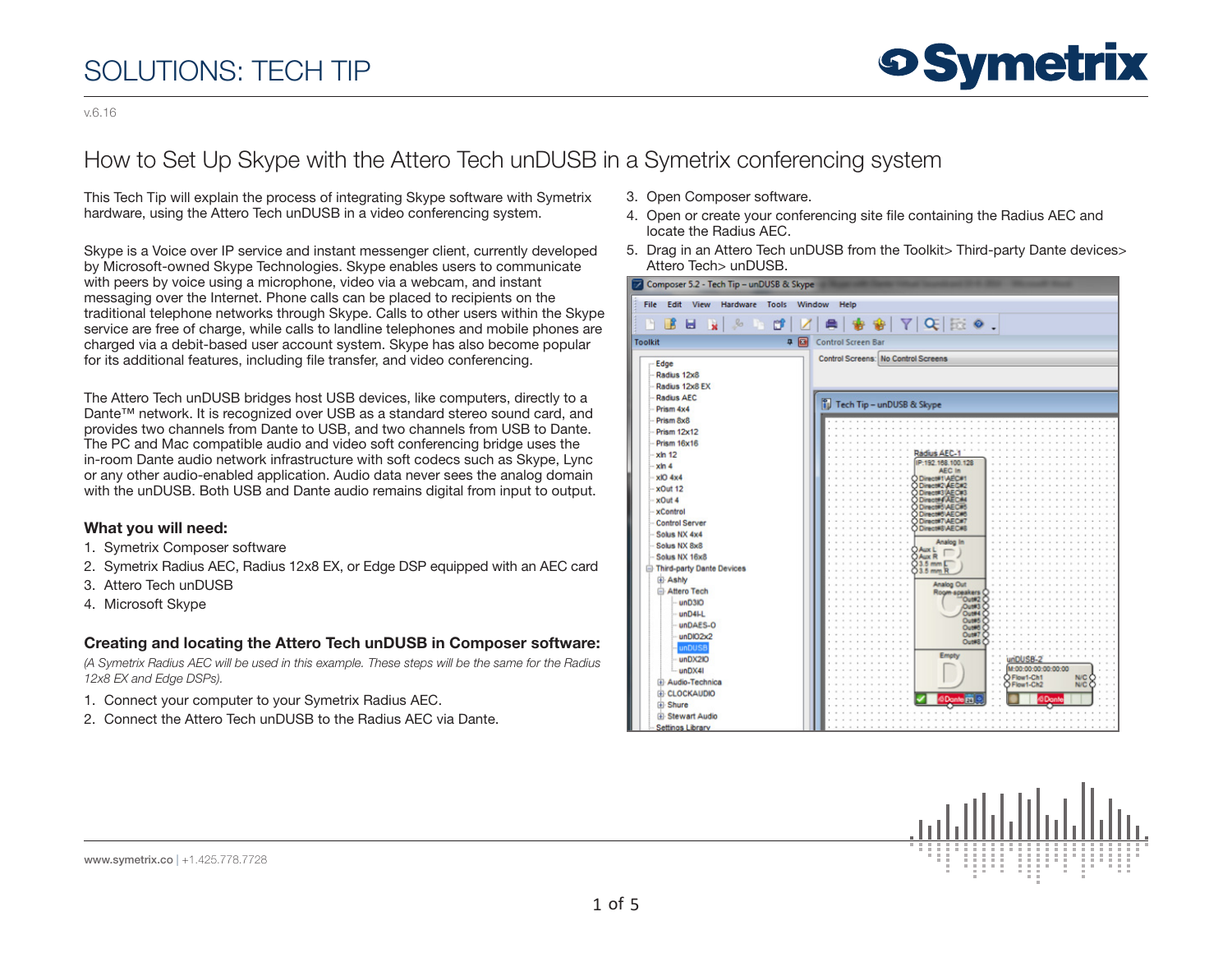v.6.16

### How to Set Up Skype with the Attero Tech unDUSB in a Symetrix conferencing system

This Tech Tip will explain the process of integrating Skype software with Symetrix hardware, using the Attero Tech unDUSB in a video conferencing system.

Skype is a Voice over IP service and instant messenger client, currently developed by Microsoft-owned Skype Technologies. Skype enables users to communicate with peers by voice using a microphone, video via a webcam, and instant messaging over the Internet. Phone calls can be placed to recipients on the traditional telephone networks through Skype. Calls to other users within the Skype service are free of charge, while calls to landline telephones and mobile phones are charged via a debit-based user account system. Skype has also become popular for its additional features, including file transfer, and video conferencing.

The Attero Tech unDUSB bridges host USB devices, like computers, directly to a Dante™ network. It is recognized over USB as a standard stereo sound card, and provides two channels from Dante to USB, and two channels from USB to Dante. The PC and Mac compatible audio and video soft conferencing bridge uses the in-room Dante audio network infrastructure with soft codecs such as Skype, Lync or any other audio-enabled application. Audio data never sees the analog domain with the unDUSB. Both USB and Dante audio remains digital from input to output.

### What you will need:

- 1. Symetrix Composer software
- 2. Symetrix Radius AEC, Radius 12x8 EX, or Edge DSP equipped with an AEC card
- 3. Attero Tech unDUSB
- 4. Microsoft Skype

### Creating and locating the Attero Tech unDUSB in Composer software:

*(A Symetrix Radius AEC will be used in this example. These steps will be the same for the Radius 12x8 EX and Edge DSPs).*

- 1. Connect your computer to your Symetrix Radius AEC.
- 2. Connect the Attero Tech unDUSB to the Radius AEC via Dante.
- 3. Open Composer software.
- 4. Open or create your conferencing site file containing the Radius AEC and locate the Radius AEC.
- 5. Drag in an Attero Tech unDUSB from the Toolkit> Third-party Dante devices> Attero Tech> unDUSB.



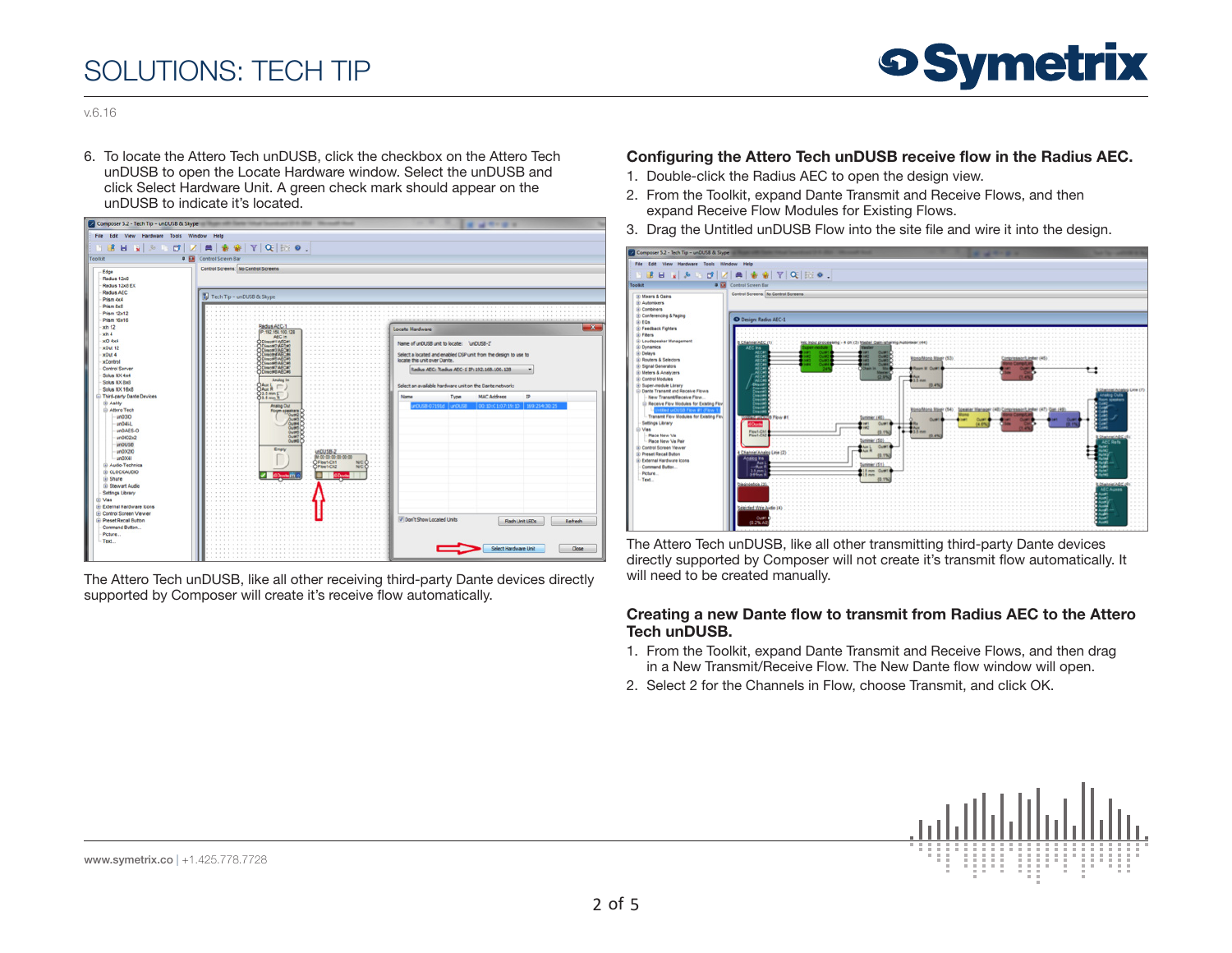

v.6.16

6. To locate the Attero Tech unDUSB, click the checkbox on the Attero Tech unDUSB to open the Locate Hardware window. Select the unDUSB and click Select Hardware Unit. A green check mark should appear on the unDUSB to indicate it's located.



The Attero Tech unDUSB, like all other receiving third-party Dante devices directly supported by Composer will create it's receive flow automatically.

### Configuring the Attero Tech unDUSB receive flow in the Radius AEC.

- 1. Double-click the Radius AEC to open the design view.
- 2. From the Toolkit, expand Dante Transmit and Receive Flows, and then expand Receive Flow Modules for Existing Flows.
- 3. Drag the Untitled unDUSB Flow into the site file and wire it into the design.



The Attero Tech unDUSB, like all other transmitting third-party Dante devices directly supported by Composer will not create it's transmit flow automatically. It will need to be created manually.

#### Creating a new Dante flow to transmit from Radius AEC to the Attero Tech unDUSB.

- 1. From the Toolkit, expand Dante Transmit and Receive Flows, and then drag in a New Transmit/Receive Flow. The New Dante flow window will open.
- 2. Select 2 for the Channels in Flow, choose Transmit, and click OK.

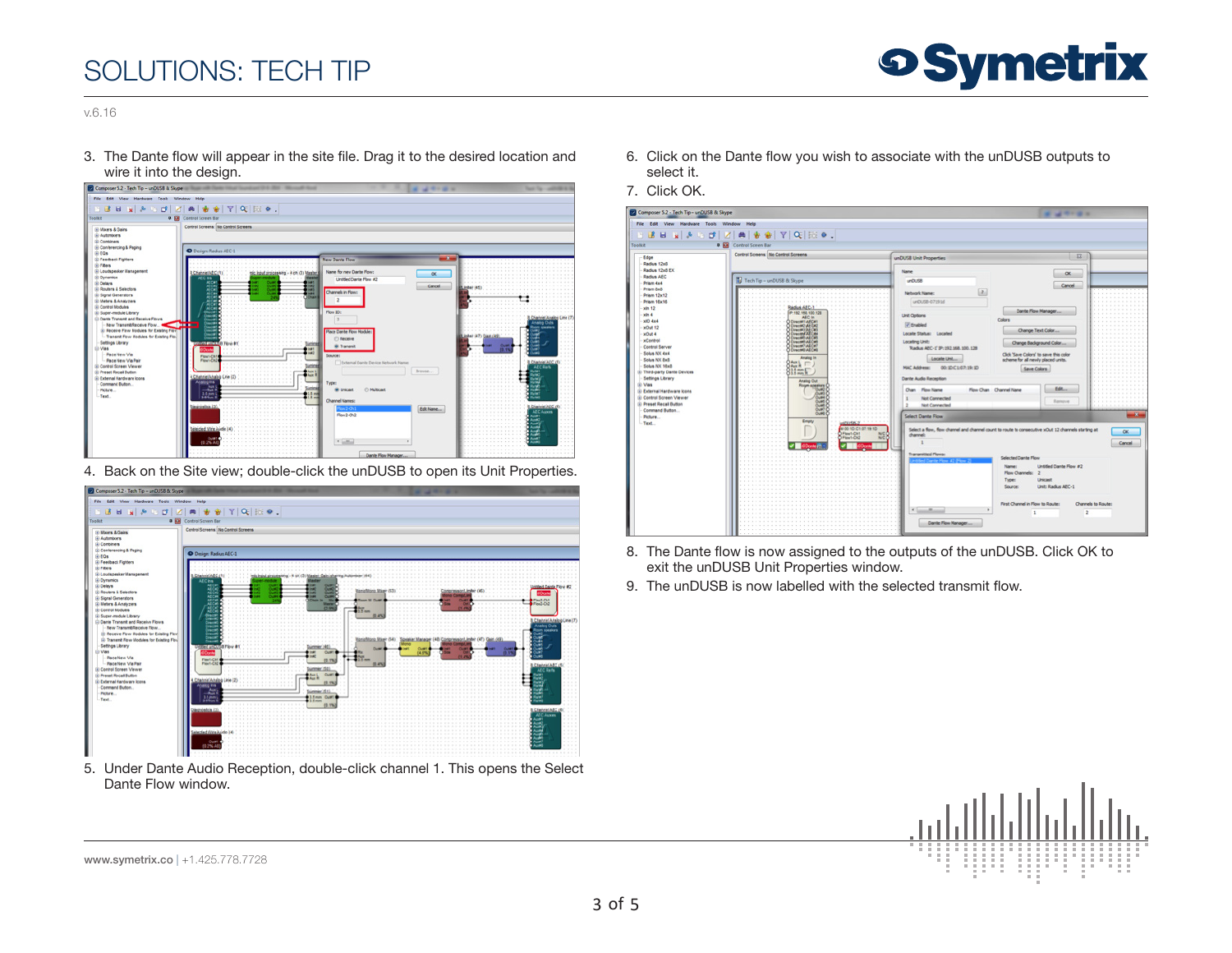

v.6.16

3. The Dante flow will appear in the site file. Drag it to the desired location and wire it into the design.



4. Back on the Site view; double-click the unDUSB to open its Unit Properties.



5. Under Dante Audio Reception, double-click channel 1. This opens the Select Dante Flow window.

- 6. Click on the Dante flow you wish to associate with the unDUSB outputs to select it.
- 7. Click OK.

| Composer 5.2 - Tech Tip - unQUSB & Skype<br><b>MANAGER</b> |                                                                 |                                                                                                                                                                                                                                                                                                                                                                                                                                                                                                          |                    |
|------------------------------------------------------------|-----------------------------------------------------------------|----------------------------------------------------------------------------------------------------------------------------------------------------------------------------------------------------------------------------------------------------------------------------------------------------------------------------------------------------------------------------------------------------------------------------------------------------------------------------------------------------------|--------------------|
| File Edit View Hardware Tools Window Help                  |                                                                 |                                                                                                                                                                                                                                                                                                                                                                                                                                                                                                          |                    |
|                                                            | H B B 및 최 G B   Z   최 총 총   Y   Q   R   ⊙ .                     |                                                                                                                                                                                                                                                                                                                                                                                                                                                                                                          |                    |
| Toolkit                                                    | <b>Q Ed</b> Control Screen Bar                                  |                                                                                                                                                                                                                                                                                                                                                                                                                                                                                                          |                    |
|                                                            | Control Screens: No Control Screens                             | $\Sigma$                                                                                                                                                                                                                                                                                                                                                                                                                                                                                                 |                    |
| Edge<br>Radius 12x8                                        |                                                                 | unDUSB Unit Properties                                                                                                                                                                                                                                                                                                                                                                                                                                                                                   |                    |
| Radius 12x8 EX                                             |                                                                 | Name                                                                                                                                                                                                                                                                                                                                                                                                                                                                                                     |                    |
| Radius AEC                                                 | Tech Tip - unDUSB & Skype                                       | $\propto$<br>u(0.58)                                                                                                                                                                                                                                                                                                                                                                                                                                                                                     |                    |
| <b>Primm dark</b><br>Frien but                             |                                                                 | Cancel                                                                                                                                                                                                                                                                                                                                                                                                                                                                                                   |                    |
| Prison 12x12                                               |                                                                 | $\boxed{2}$<br>Network Name:                                                                                                                                                                                                                                                                                                                                                                                                                                                                             |                    |
| Prism 16x16                                                |                                                                 | unDL5B-07191d                                                                                                                                                                                                                                                                                                                                                                                                                                                                                            |                    |
| xln 12<br>$x \ln 4$                                        | IP:192.188.100.128                                              | Dante Flow Manager<br><b>Unit Options</b>                                                                                                                                                                                                                                                                                                                                                                                                                                                                |                    |
| with City                                                  | AEC In<br><b>DINIMITARCH</b>                                    | Colors                                                                                                                                                                                                                                                                                                                                                                                                                                                                                                   |                    |
| x0x012                                                     | <b>Overst At CAL</b><br>Dresset (AECR)<br><b>Concret AT CAL</b> | <b>Trabled</b><br>Change Text Color<br>Locate Status: Located                                                                                                                                                                                                                                                                                                                                                                                                                                            |                    |
| <b>MOUL4</b><br>xControl                                   | <b>Overall ALCA</b>                                             | Locating Unit:                                                                                                                                                                                                                                                                                                                                                                                                                                                                                           |                    |
| Control Server                                             | <b>Crecert AEC#6</b><br>O Directer A&Cer?<br>O Directer A&Cer   | Change Background Color<br>Tarke AEC-1' 3P-193, 168, 100, 128                                                                                                                                                                                                                                                                                                                                                                                                                                            |                    |
| Solus NX dad                                               | <b>Analog In</b>                                                | Click 'Save Colors' to save this color<br>Locate Unit                                                                                                                                                                                                                                                                                                                                                                                                                                                    |                    |
| Solus NX BxB<br>Sokia NX 16x8                              | 84.1<br>$\blacksquare$                                          | scheme for all newly placed units.<br>00:30(167) 19:30<br><b>MAC Address:</b>                                                                                                                                                                                                                                                                                                                                                                                                                            |                    |
| 3) Third-party Dante Devices                               | 011mnF<br>O.L.t.mm R                                            | Save Colors                                                                                                                                                                                                                                                                                                                                                                                                                                                                                              |                    |
| Settings Library<br>(i) Vies                               | <b>Analog Out</b>                                               | <b>Dante Audio Reception</b>                                                                                                                                                                                                                                                                                                                                                                                                                                                                             |                    |
| (i) External Hardware Icons                                | <b>Rogm apeaker</b><br>$-$<br><b>Last</b>                       | Edit<br>Flow Chan Channel Name<br>Chan Flow Name                                                                                                                                                                                                                                                                                                                                                                                                                                                         |                    |
| (a) Control Screen Viewer                                  | Links<br><b>NAME</b>                                            | Not Connected<br>Renove                                                                                                                                                                                                                                                                                                                                                                                                                                                                                  |                    |
| (i) Preset Recal Button<br>Command Button                  | <b>County</b><br>Outel                                          | <b>Not Connected</b>                                                                                                                                                                                                                                                                                                                                                                                                                                                                                     |                    |
| Picture<br>Text                                            | Outsid<br>Empty                                                 | <b>Select Dante Ficus</b>                                                                                                                                                                                                                                                                                                                                                                                                                                                                                |                    |
|                                                            | <b>M 00 10 C1 07 19:10</b>                                      | Select a flow, flow channel and channel count to route to consecutive xOut 12 channels starting at                                                                                                                                                                                                                                                                                                                                                                                                       | OK.                |
|                                                            | Plent-Cht                                                       | channel:                                                                                                                                                                                                                                                                                                                                                                                                                                                                                                 |                    |
|                                                            |                                                                 |                                                                                                                                                                                                                                                                                                                                                                                                                                                                                                          | Cancel.            |
|                                                            |                                                                 | <b>Transmitted Flows:</b><br>Selected Dante Flow                                                                                                                                                                                                                                                                                                                                                                                                                                                         |                    |
|                                                            |                                                                 | Untitled Dante Flow #2<br>Name:                                                                                                                                                                                                                                                                                                                                                                                                                                                                          |                    |
|                                                            |                                                                 | Flow Channels: 2                                                                                                                                                                                                                                                                                                                                                                                                                                                                                         |                    |
|                                                            |                                                                 | Type:<br>Unicast                                                                                                                                                                                                                                                                                                                                                                                                                                                                                         |                    |
|                                                            |                                                                 | Unit: Radius AEC-1<br>Source:                                                                                                                                                                                                                                                                                                                                                                                                                                                                            |                    |
|                                                            |                                                                 |                                                                                                                                                                                                                                                                                                                                                                                                                                                                                                          |                    |
|                                                            |                                                                 | First Channel in Flow to Route:<br>$\mathcal{K} \left[ \underbrace{\mathcal{M} \left[ \mathcal{M} \right] \mathcal{M} \mathcal{M} \mathcal{M} \mathcal{M} \mathcal{M} \mathcal{M} \mathcal{M} \mathcal{M} \mathcal{M} \mathcal{M} \mathcal{M} \mathcal{M} \mathcal{M} \mathcal{M} \mathcal{M} \mathcal{M} \mathcal{M} \mathcal{M} \mathcal{M} \mathcal{M} \mathcal{M} \mathcal{M} \mathcal{M} \mathcal{M} \mathcal{M} \mathcal{M} \mathcal{M} \mathcal{M} \mathcal{M} \mathcal{M} \mathcal{M} \mathcal{$ | Channels to Route: |
|                                                            |                                                                 | t.                                                                                                                                                                                                                                                                                                                                                                                                                                                                                                       | $\mathbf{z}$       |
|                                                            |                                                                 | Dante Flow Manager                                                                                                                                                                                                                                                                                                                                                                                                                                                                                       |                    |
|                                                            |                                                                 |                                                                                                                                                                                                                                                                                                                                                                                                                                                                                                          |                    |

- 8. The Dante flow is now assigned to the outputs of the unDUSB. Click OK to exit the unDUSB Unit Properties window.
- 9. The unDUSB is now labelled with the selected transmit flow.



www.symetrix.co | +1.425.778.7728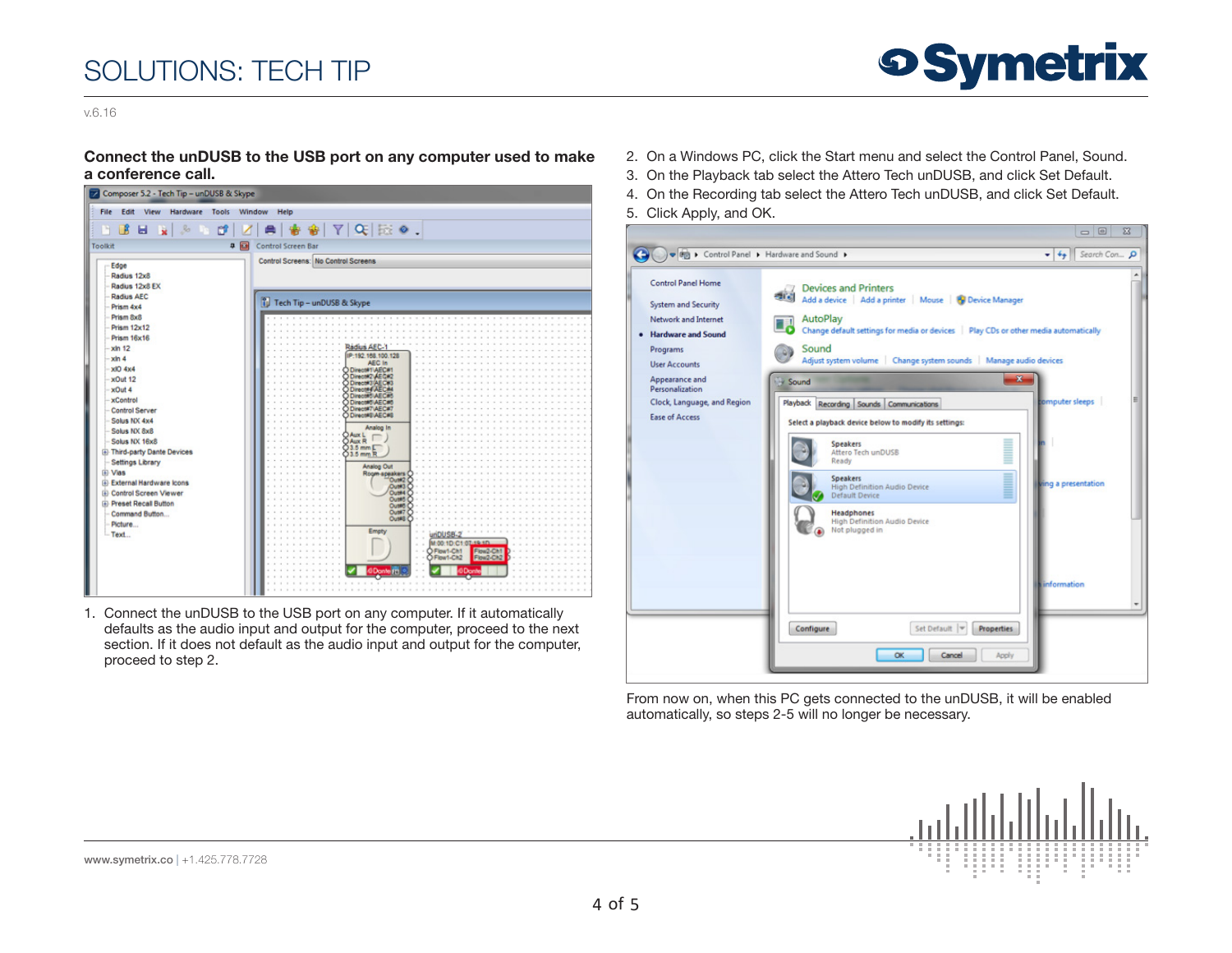

v.6.16

#### Connect the unDUSB to the USB port on any computer used to make a conference call.

| Composer 5.2 - Tech Tip - unDUSB & Skype                                                                                                                                                                                                                                                                                                                                                                                                                                                          |                                                                                                                                                                                                                                                                                                                                                                                                                                                           |  |  |  |
|---------------------------------------------------------------------------------------------------------------------------------------------------------------------------------------------------------------------------------------------------------------------------------------------------------------------------------------------------------------------------------------------------------------------------------------------------------------------------------------------------|-----------------------------------------------------------------------------------------------------------------------------------------------------------------------------------------------------------------------------------------------------------------------------------------------------------------------------------------------------------------------------------------------------------------------------------------------------------|--|--|--|
| Edit<br>File<br>View Hardware<br><b>Tools</b><br>Window<br>Help                                                                                                                                                                                                                                                                                                                                                                                                                                   |                                                                                                                                                                                                                                                                                                                                                                                                                                                           |  |  |  |
| 卷 窗   7   0   版 0 .<br><b>BER</b><br>$R_{0}$<br>ď                                                                                                                                                                                                                                                                                                                                                                                                                                                 |                                                                                                                                                                                                                                                                                                                                                                                                                                                           |  |  |  |
| 90<br>Toolkit                                                                                                                                                                                                                                                                                                                                                                                                                                                                                     | Control Screen Bar                                                                                                                                                                                                                                                                                                                                                                                                                                        |  |  |  |
| Edge<br>Radius 12x8<br>Radius 12x8 EX<br><b>Radius AEC</b><br>Prism 4x4<br>Prism 8x8<br>Prism 12x12<br><b>Prism 16x16</b><br><b>xln 12</b><br>$-xln 4$<br><b>xlO 4x4</b><br>xOut 12<br>xOut 4<br><b>xControl</b><br>Control Server<br>Solus NX 4x4<br>Solus NX 8x8<br>Solus NX 16x8<br><b>E</b> Third-party Dante Devices<br><b>Settings Library</b><br><b>E</b> Vias<br>External Hardware Icons<br><b>El Control Screen Viewer</b><br><b>E</b> Preset Recall Button<br>Command Button<br>Picture | Control Screens: No Control Screens<br>Tech Tip - unDUSB & Skype<br>Radius AEC<br>IP:192.168.100.128<br>AEC In<br>Direct#1\AEC#1<br>O Direct#2 AEC#2<br>O Direct#3 AEC#3<br>O Direct#4 AEC<br>O Direct#5\AEC<br>D Direct#5\AEC#5<br>D Direct#7\AEC#7<br>Direct#S\AEC#8<br>Analog In<br><b>DAUXL</b><br><b>DAux R</b><br>$Q3.5$ mm $E$<br>03.5 mm R<br>Analog Out<br>Room-speakers<br>Out#2<br>Out#3<br>Out#4<br>Out#5<br>Out#6<br>Out#7<br>Out#8<br>Empty |  |  |  |
| - Text                                                                                                                                                                                                                                                                                                                                                                                                                                                                                            | ×<br>M:00:1D:C1:07:19:1D<br>×.<br>O Flow1-Cht<br>ú<br>Flow2-Ch1<br>O Flow1-Ch2<br>$\alpha$<br>Flow2-Ch2                                                                                                                                                                                                                                                                                                                                                   |  |  |  |

1. Connect the unDUSB to the USB port on any computer. If it automatically defaults as the audio input and output for the computer, proceed to the next section. If it does not default as the audio input and output for the computer, proceed to step 2.

- 2. On a Windows PC, click the Start menu and select the Control Panel, Sound.
- 3. On the Playback tab select the Attero Tech unDUSB, and click Set Default.
- 4. On the Recording tab select the Attero Tech unDUSB, and click Set Default.
- 5. Click Apply, and OK.



From now on, when this PC gets connected to the unDUSB, it will be enabled automatically, so steps 2-5 will no longer be necessary.



www.symetrix.co | +1.425.778.7728